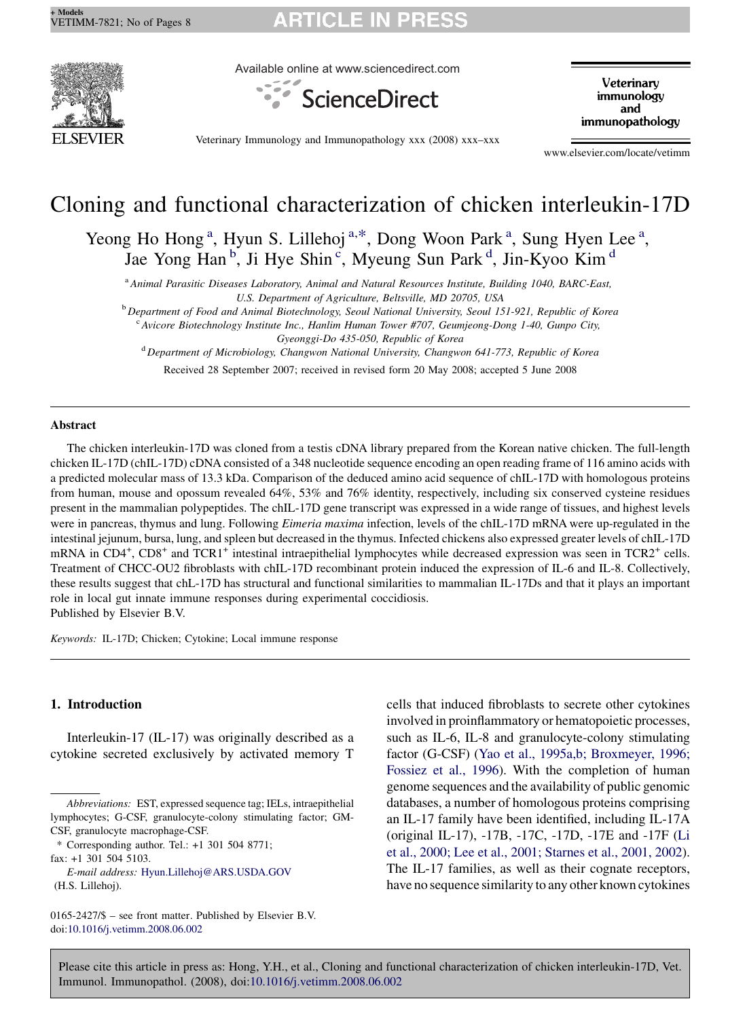

Available online at www.sciencedirect.com



Veterinary immunology and immunopathology

Veterinary Immunology and Immunopathology xxx (2008) xxx–xxx

www.elsevier.com/locate/vetimm

## Cloning and functional characterization of chicken interleukin-17D

Yeong Ho Hong<sup>a</sup>, Hyun S. Lillehoj<sup>a,\*</sup>, Dong Woon Park<sup>a</sup>, Sung Hyen Lee<sup>a</sup>, Jae Yong Han<sup>b</sup>, Ji Hye Shin<sup>c</sup>, Myeung Sun Park<sup>d</sup>, Jin-Kyoo Kim<sup>d</sup>

<sup>a</sup> Animal Parasitic Diseases Laboratory, Animal and Natural Resources Institute, Building 1040, BARC-East, U.S. Department of Agriculture, Beltsville, MD 20705, USA

<sup>b</sup> Department of Food and Animal Biotechnology, Seoul National University, Seoul 151-921, Republic of Korea

<sup>c</sup> Avicore Biotechnology Institute Inc., Hanlim Human Tower #707, Geumjeong-Dong 1-40, Gunpo City, Gyeonggi-Do 435-050, Republic of Korea

<sup>d</sup> Department of Microbiology, Changwon National University, Changwon 641-773, Republic of Korea

Received 28 September 2007; received in revised form 20 May 2008; accepted 5 June 2008

#### Abstract

The chicken interleukin-17D was cloned from a testis cDNA library prepared from the Korean native chicken. The full-length chicken IL-17D (chIL-17D) cDNA consisted of a 348 nucleotide sequence encoding an open reading frame of 116 amino acids with a predicted molecular mass of 13.3 kDa. Comparison of the deduced amino acid sequence of chIL-17D with homologous proteins from human, mouse and opossum revealed 64%, 53% and 76% identity, respectively, including six conserved cysteine residues present in the mammalian polypeptides. The chIL-17D gene transcript was expressed in a wide range of tissues, and highest levels were in pancreas, thymus and lung. Following *Eimeria maxima* infection, levels of the chIL-17D mRNA were up-regulated in the intestinal jejunum, bursa, lung, and spleen but decreased in the thymus. Infected chickens also expressed greater levels of chIL-17D mRNA in CD4<sup>+</sup>, CD8<sup>+</sup> and TCR1<sup>+</sup> intestinal intraepithelial lymphocytes while decreased expression was seen in TCR2<sup>+</sup> cells. Treatment of CHCC-OU2 fibroblasts with chIL-17D recombinant protein induced the expression of IL-6 and IL-8. Collectively, these results suggest that chL-17D has structural and functional similarities to mammalian IL-17Ds and that it plays an important role in local gut innate immune responses during experimental coccidiosis. Published by Elsevier B.V.

Keywords: IL-17D; Chicken; Cytokine; Local immune response

### 1. Introduction

Interleukin-17 (IL-17) was originally described as a cytokine secreted exclusively by activated memory T

E-mail address: [Hyun.Lillehoj@ARS.USDA.GOV](mailto:Hyun.Lillehoj@ARS.USDA.GOV) (H.S. Lillehoj).

cells that induced fibroblasts to secrete other cytokines involved in proinflammatory or hematopoietic processes, such as IL-6, IL-8 and granulocyte-colony stimulating factor (G-CSF) [\(Yao et al., 1995a,b; Broxmeyer, 1996;](#page-7-0) [Fossiez et al., 1996\)](#page-7-0). With the completion of human genome sequences and the availability of public genomic databases, a number of homologous proteins comprising an IL-17 family have been identified, including IL-17A (original IL-17), -17B, -17C, -17D, -17E and -17F [\(Li](#page-7-0) [et al., 2000; Lee et al., 2001; Starnes et al., 2001, 2002](#page-7-0)). The IL-17 families, as well as their cognate receptors, have no sequence similarity to any other known cytokines

Abbreviations: EST, expressed sequence tag; IELs, intraepithelial lymphocytes; G-CSF, granulocyte-colony stimulating factor; GM-CSF, granulocyte macrophage-CSF.

<sup>\*</sup> Corresponding author. Tel.: +1 301 504 8771; fax: +1 301 504 5103.

<sup>0165-2427/\$ –</sup> see front matter. Published by Elsevier B.V. doi[:10.1016/j.vetimm.2008.06.002](http://dx.doi.org/10.1016/j.vetimm.2008.06.002)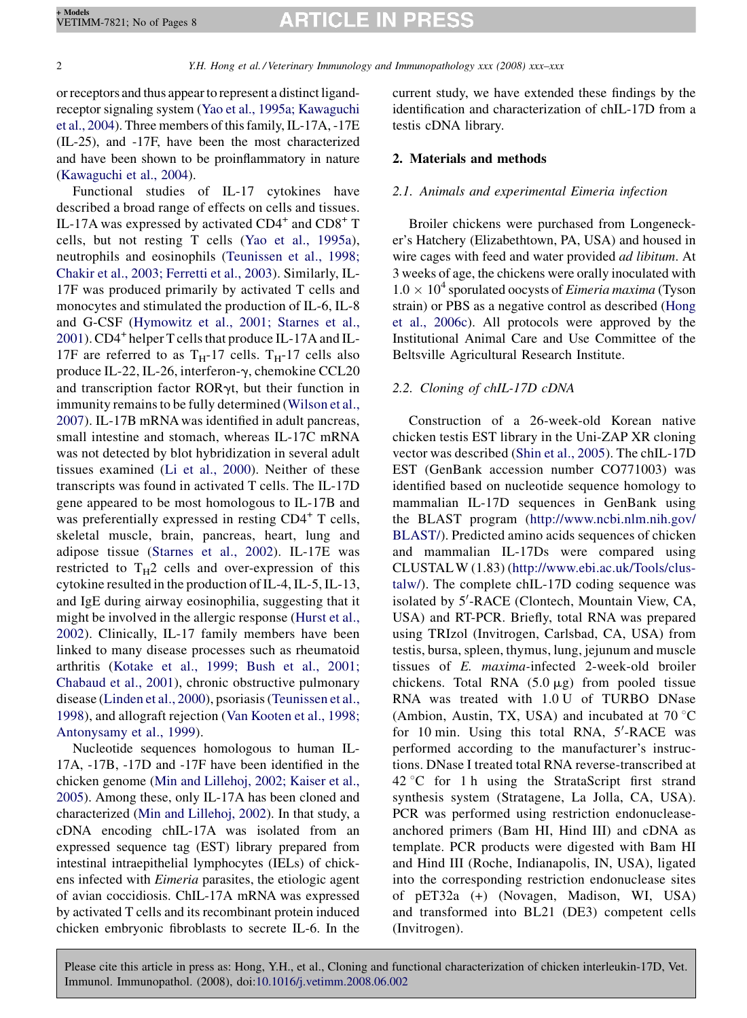2 Y.H. Hong et al. / Veterinary Immunology and Immunopathology xxx (2008) xxx–xxx

or receptors and thus appear to represent a distinct ligandreceptor signaling system ([Yao et al., 1995a; Kawaguchi](#page-7-0) [et al., 2004\)](#page-7-0). Three members of this family, IL-17A, -17E (IL-25), and -17F, have been the most characterized and have been shown to be proinflammatory in nature [\(Kawaguchi et al., 2004](#page-7-0)).

Functional studies of IL-17 cytokines have described a broad range of effects on cells and tissues. IL-17A was expressed by activated  $CD4^+$  and  $CD8^+$  T cells, but not resting T cells ([Yao et al., 1995a](#page-7-0)), neutrophils and eosinophils [\(Teunissen et al., 1998;](#page-7-0) [Chakir et al., 2003; Ferretti et al., 2003\)](#page-7-0). Similarly, IL-17F was produced primarily by activated T cells and monocytes and stimulated the production of IL-6, IL-8 and G-CSF [\(Hymowitz et al., 2001; Starnes et al.,](#page-6-0) [2001\)](#page-6-0). CD4<sup>+</sup> helper T cells that produce IL-17A and IL-17F are referred to as  $T_H$ -17 cells.  $T_H$ -17 cells also produce IL-22, IL-26, interferon- $\gamma$ , chemokine CCL20 and transcription factor  $ROR\gamma t$ , but their function in immunity remains to be fully determined ([Wilson et al.,](#page-7-0) [2007\)](#page-7-0). IL-17B mRNA was identified in adult pancreas, small intestine and stomach, whereas IL-17C mRNA was not detected by blot hybridization in several adult tissues examined [\(Li et al., 2000\)](#page-7-0). Neither of these transcripts was found in activated T cells. The IL-17D gene appeared to be most homologous to IL-17B and was preferentially expressed in resting CD4<sup>+</sup> T cells, skeletal muscle, brain, pancreas, heart, lung and adipose tissue ([Starnes et al., 2002](#page-7-0)). IL-17E was restricted to  $T_H2$  cells and over-expression of this cytokine resulted in the production of IL-4, IL-5, IL-13, and IgE during airway eosinophilia, suggesting that it might be involved in the allergic response [\(Hurst et al.,](#page-6-0) [2002\)](#page-6-0). Clinically, IL-17 family members have been linked to many disease processes such as rheumatoid arthritis ([Kotake et al., 1999; Bush et al., 2001;](#page-7-0) [Chabaud et al., 2001\)](#page-7-0), chronic obstructive pulmonary disease ([Linden et al., 2000\)](#page-7-0), psoriasis [\(Teunissen et al.,](#page-7-0) [1998\)](#page-7-0), and allograft rejection ([Van Kooten et al., 1998;](#page-7-0) [Antonysamy et al., 1999\)](#page-7-0).

Nucleotide sequences homologous to human IL-17A, -17B, -17D and -17F have been identified in the chicken genome ([Min and Lillehoj, 2002; Kaiser et al.,](#page-7-0) [2005](#page-7-0)). Among these, only IL-17A has been cloned and characterized ([Min and Lillehoj, 2002](#page-7-0)). In that study, a cDNA encoding chIL-17A was isolated from an expressed sequence tag (EST) library prepared from intestinal intraepithelial lymphocytes (IELs) of chickens infected with Eimeria parasites, the etiologic agent of avian coccidiosis. ChIL-17A mRNA was expressed by activated T cells and its recombinant protein induced chicken embryonic fibroblasts to secrete IL-6. In the

current study, we have extended these findings by the identification and characterization of chIL-17D from a testis cDNA library.

#### 2. Materials and methods

#### 2.1. Animals and experimental Eimeria infection

Broiler chickens were purchased from Longenecker's Hatchery (Elizabethtown, PA, USA) and housed in wire cages with feed and water provided *ad libitum*. At 3 weeks of age, the chickens were orally inoculated with  $1.0 \times 10^4$  sporulated oocysts of *Eimeria maxima* (Tyson strain) or PBS as a negative control as described [\(Hong](#page-6-0) [et al., 2006c\)](#page-6-0). All protocols were approved by the Institutional Animal Care and Use Committee of the Beltsville Agricultural Research Institute.

#### 2.2. Cloning of chIL-17D cDNA

Construction of a 26-week-old Korean native chicken testis EST library in the Uni-ZAP XR cloning vector was described [\(Shin et al., 2005](#page-7-0)). The chIL-17D EST (GenBank accession number CO771003) was identified based on nucleotide sequence homology to mammalian IL-17D sequences in GenBank using the BLAST program [\(http://www.ncbi.nlm.nih.gov/](http://www.ncbi.nlm.nih.gov/BLAST/) [BLAST/](http://www.ncbi.nlm.nih.gov/BLAST/)). Predicted amino acids sequences of chicken and mammalian IL-17Ds were compared using CLUSTALW (1.83) ([http://www.ebi.ac.uk/Tools/clus](http://www.ebi.ac.uk/Tools/clustalw/)[talw/\)](http://www.ebi.ac.uk/Tools/clustalw/). The complete chIL-17D coding sequence was isolated by 5'-RACE (Clontech, Mountain View, CA, USA) and RT-PCR. Briefly, total RNA was prepared using TRIzol (Invitrogen, Carlsbad, CA, USA) from testis, bursa, spleen, thymus, lung, jejunum and muscle tissues of E. maxima-infected 2-week-old broiler chickens. Total RNA  $(5.0 \mu g)$  from pooled tissue RNA was treated with 1.0 U of TURBO DNase (Ambion, Austin, TX, USA) and incubated at  $70^{\circ}$ C for 10 min. Using this total RNA, 5'-RACE was performed according to the manufacturer's instructions. DNase I treated total RNA reverse-transcribed at 42 °C for 1 h using the StrataScript first strand synthesis system (Stratagene, La Jolla, CA, USA). PCR was performed using restriction endonucleaseanchored primers (Bam HI, Hind III) and cDNA as template. PCR products were digested with Bam HI and Hind III (Roche, Indianapolis, IN, USA), ligated into the corresponding restriction endonuclease sites of pET32a (+) (Novagen, Madison, WI, USA) and transformed into BL21 (DE3) competent cells (Invitrogen).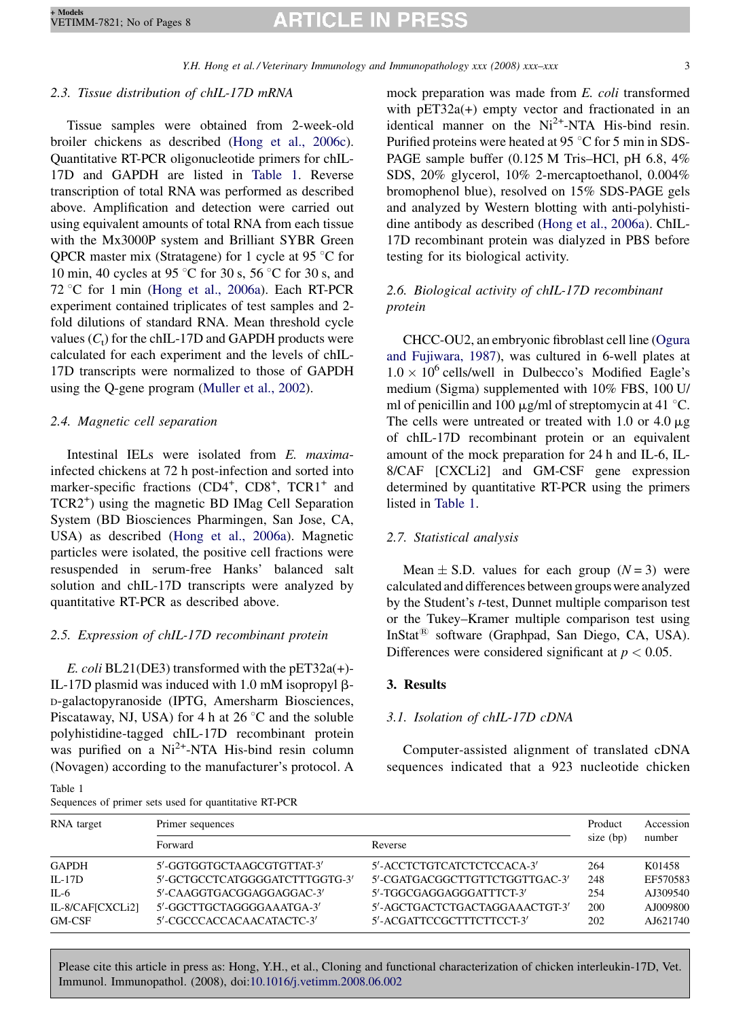## 2.3. Tissue distribution of chIL-17D mRNA

Tissue samples were obtained from 2-week-old broiler chickens as described ([Hong et al., 2006c](#page-6-0)). Quantitative RT-PCR oligonucleotide primers for chIL-17D and GAPDH are listed in Table 1. Reverse transcription of total RNA was performed as described above. Amplification and detection were carried out using equivalent amounts of total RNA from each tissue with the Mx3000P system and Brilliant SYBR Green QPCR master mix (Stratagene) for 1 cycle at 95  $\degree$ C for 10 min, 40 cycles at 95 °C for 30 s, 56 °C for 30 s, and  $72 °C$  for 1 min [\(Hong et al., 2006a\)](#page-6-0). Each RT-PCR experiment contained triplicates of test samples and 2 fold dilutions of standard RNA. Mean threshold cycle values  $(C_t)$  for the chIL-17D and GAPDH products were calculated for each experiment and the levels of chIL-17D transcripts were normalized to those of GAPDH using the Q-gene program [\(Muller et al., 2002\)](#page-7-0).

### 2.4. Magnetic cell separation

Intestinal IELs were isolated from E. maximainfected chickens at 72 h post-infection and sorted into marker-specific fractions (CD4<sup>+</sup>, CD8<sup>+</sup>, TCR1<sup>+</sup> and TCR2<sup>+</sup> ) using the magnetic BD IMag Cell Separation System (BD Biosciences Pharmingen, San Jose, CA, USA) as described [\(Hong et al., 2006a\)](#page-6-0). Magnetic particles were isolated, the positive cell fractions were resuspended in serum-free Hanks' balanced salt solution and chIL-17D transcripts were analyzed by quantitative RT-PCR as described above.

### 2.5. Expression of chIL-17D recombinant protein

E. coli BL21(DE3) transformed with the pET32a(+)- IL-17D plasmid was induced with 1.0 mM isopropyl  $\beta$ -D-galactopyranoside (IPTG, Amersharm Biosciences, Piscataway, NJ, USA) for 4 h at  $26^{\circ}$ C and the soluble polyhistidine-tagged chIL-17D recombinant protein was purified on a  $Ni^{2+}$ -NTA His-bind resin column (Novagen) according to the manufacturer's protocol. A  $T_{\rm T}$ 

mock preparation was made from E. coli transformed with pET32a(+) empty vector and fractionated in an identical manner on the  $Ni^{2+}$ -NTA His-bind resin. Purified proteins were heated at 95 $\degree$ C for 5 min in SDS-PAGE sample buffer (0.125 M Tris–HCl, pH 6.8, 4% SDS, 20% glycerol, 10% 2-mercaptoethanol, 0.004% bromophenol blue), resolved on 15% SDS-PAGE gels and analyzed by Western blotting with anti-polyhistidine antibody as described [\(Hong et al., 2006a](#page-6-0)). ChIL-17D recombinant protein was dialyzed in PBS before testing for its biological activity.

## 2.6. Biological activity of chIL-17D recombinant protein

CHCC-OU2, an embryonic fibroblast cell line [\(Ogura](#page-7-0) [and Fujiwara, 1987\)](#page-7-0), was cultured in 6-well plates at  $1.0 \times 10^6$  cells/well in Dulbecco's Modified Eagle's medium (Sigma) supplemented with 10% FBS, 100 U/ ml of penicillin and 100  $\mu$ g/ml of streptomycin at 41 °C. The cells were untreated or treated with 1.0 or 4.0  $\mu$ g of chIL-17D recombinant protein or an equivalent amount of the mock preparation for 24 h and IL-6, IL-8/CAF [CXCLi2] and GM-CSF gene expression determined by quantitative RT-PCR using the primers listed in Table 1.

## 2.7. Statistical analysis

Mean  $\pm$  S.D. values for each group (N = 3) were calculated and differences between groups were analyzed by the Student's t-test, Dunnet multiple comparison test or the Tukey–Kramer multiple comparison test using InStat $^{(8)}$  software (Graphpad, San Diego, CA, USA). Differences were considered significant at  $p < 0.05$ .

#### 3. Results

#### 3.1. Isolation of chIL-17D cDNA

Computer-assisted alignment of translated cDNA sequences indicated that a 923 nucleotide chicken

| rapie i |  |  |                                                       |  |
|---------|--|--|-------------------------------------------------------|--|
|         |  |  | Sequences of primer sets used for quantitative RT-PCR |  |

| RNA target       | Primer sequences               | Product                        | Accession |          |
|------------------|--------------------------------|--------------------------------|-----------|----------|
|                  | Forward                        | Reverse                        | size (bp) | number   |
| <b>GAPDH</b>     | 5'-GGTGGTGCTAAGCGTGTTAT-3'     | 5'-ACCTCTGTCATCTCTCCACA-3'     | 264       | K01458   |
| $IL-17D$         | 5'-GCTGCCTCATGGGGATCTTTGGTG-3' | 5'-CGATGACGGCTTGTTCTGGTTGAC-3' | 248       | EF570583 |
| $IL-6$           | 5'-CAAGGTGACGGAGGAGGAC-3'      | 5'-TGGCGAGGAGGGATTTCT-3'       | 254       | AJ309540 |
| IL-8/CAF[CXCLi2] | 5'-GGCTTGCTAGGGGAAATGA-3'      | 5'-AGCTGACTCTGACTAGGAAACTGT-3' | 200       | AJ009800 |
| GM-CSF           | 5'-CGCCCACCACAACATACTC-3'      | 5'-ACGATTCCGCTTTCTTCCT-3'      | 202       | AJ621740 |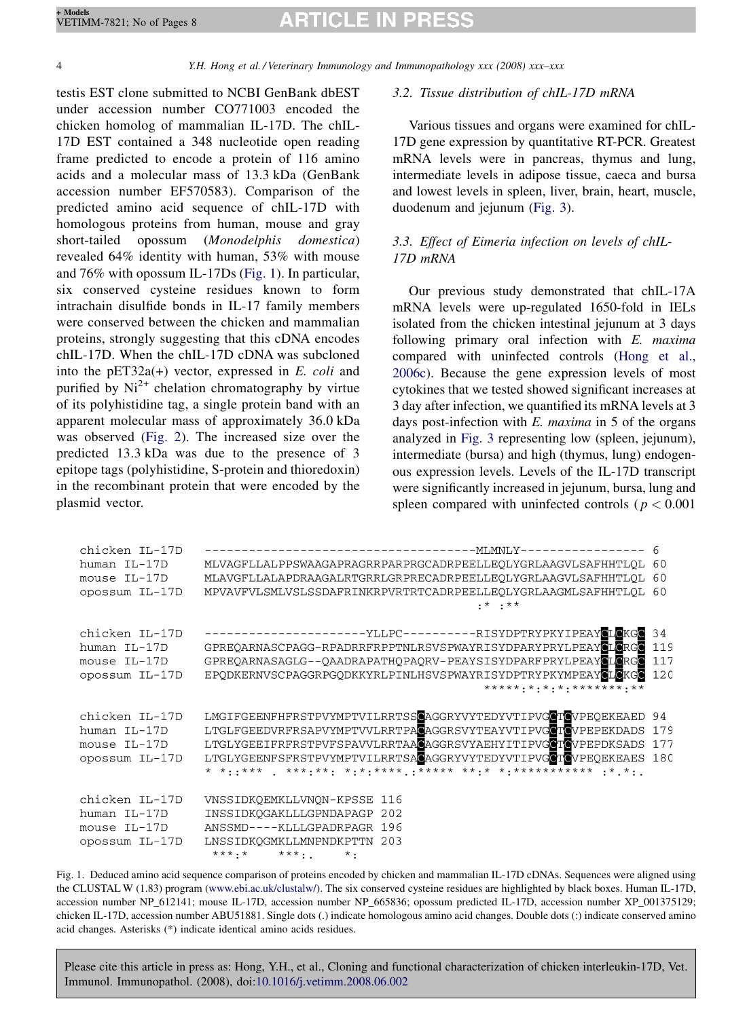4 Y.H. Hong et al. / Veterinary Immunology and Immunopathology xxx (2008) xxx–xxx

testis EST clone submitted to NCBI GenBank dbEST under accession number CO771003 encoded the chicken homolog of mammalian IL-17D. The chIL-17D EST contained a 348 nucleotide open reading frame predicted to encode a protein of 116 amino acids and a molecular mass of 13.3 kDa (GenBank accession number EF570583). Comparison of the predicted amino acid sequence of chIL-17D with homologous proteins from human, mouse and gray short-tailed opossum (Monodelphis domestica) revealed 64% identity with human, 53% with mouse and 76% with opossum IL-17Ds (Fig. 1). In particular, six conserved cysteine residues known to form intrachain disulfide bonds in IL-17 family members were conserved between the chicken and mammalian proteins, strongly suggesting that this cDNA encodes chIL-17D. When the chIL-17D cDNA was subcloned into the  $pET32a(+)$  vector, expressed in E. coli and purified by  $Ni<sup>2+</sup>$  chelation chromatography by virtue of its polyhistidine tag, a single protein band with an apparent molecular mass of approximately 36.0 kDa was observed [\(Fig. 2](#page-4-0)). The increased size over the predicted 13.3 kDa was due to the presence of 3 epitope tags (polyhistidine, S-protein and thioredoxin) in the recombinant protein that were encoded by the plasmid vector.

## 3.2. Tissue distribution of chIL-17D mRNA

Various tissues and organs were examined for chIL-17D gene expression by quantitative RT-PCR. Greatest mRNA levels were in pancreas, thymus and lung, intermediate levels in adipose tissue, caeca and bursa and lowest levels in spleen, liver, brain, heart, muscle, duodenum and jejunum ([Fig. 3](#page-4-0)).

## 3.3. Effect of Eimeria infection on levels of chIL-17D mRNA

Our previous study demonstrated that chIL-17A mRNA levels were up-regulated 1650-fold in IELs isolated from the chicken intestinal jejunum at 3 days following primary oral infection with E. maxima compared with uninfected controls ([Hong et al.,](#page-6-0) [2006c\)](#page-6-0). Because the gene expression levels of most cytokines that we tested showed significant increases at 3 day after infection, we quantified its mRNA levels at 3 days post-infection with  $E$ . maxima in 5 of the organs analyzed in [Fig. 3](#page-4-0) representing low (spleen, jejunum), intermediate (bursa) and high (thymus, lung) endogenous expression levels. Levels of the IL-17D transcript were significantly increased in jejunum, bursa, lung and spleen compared with uninfected controls ( $p < 0.001$ )

| chicken IL-17D |                                                                                          |     |
|----------------|------------------------------------------------------------------------------------------|-----|
| human IL-17D   | MLVAGFLLALPPSWAAGAPRAGRRPARPRGCADRPEELLEOLYGRLAAGVLSAFHHTLOL 60                          |     |
| mouse IL-17D   | MLAVGFLLALAPDRAAGALRTGRRLGRPRECADRPEELLEOLYGRLAAGVLSAFHHTLOL 60                          |     |
| opossum IL-17D | MPVAVFVLSMLVSLSSDAFRINKRPVRTRTCADRPEELLEOLYGRLAAGMLSAFHHTLOL 60<br>$\cdot$ * $\cdot$ * * |     |
| chicken IL-17D | ---------------------YLLPC----------RISYDPTRYPKYIPEAYCLCKGC 34                           |     |
| human IL-17D   | GPREQARNASCPAGG-RPADRRFRPPTNLRSVSPWAYRISYDPARYPRYLPEAYCLORGO                             | 119 |
| mouse IL-17D   | GPREOARNASAGLG--OAADRAPATHOPAORV-PEAYSISYDPARFPRYLPEAYCLCRGC                             | 117 |
| opossum IL-17D | EPODKERNVSCPAGGRPGODKKYRLPINLHSVSPWAYRISYDPTRYPKYMPEAYCLOKGO 120                         |     |
| chicken IL-17D | LMGIFGEENFHFRSTPVYMPTVILRRTSSCAGGRYVYTEDYVTIPVGCTCVPEQEKEAED 94                          |     |
| human IL-17D   | LTGLFGEEDVRFRSAPVYMPTVVLRRTPACAGGRSVYTEAYVTIPVGCTCVPEPEKDADS 179                         |     |
| mouse IL-17D   | LTGLYGEEIFRFRSTPVFSPAVVLRRTAACAGGRSVYAEHYITIPVGCTCVPEPDKSADS 177                         |     |
| opossum IL-17D | LTGLYGEENFSFRSTPVYMPTVILRRTSAGAGGRYVYTEDYVTIPVGCTCVPEOEKEAES 180                         |     |
| chicken IL-17D | VNSSIDKQEMKLLVNQN-KPSSE 116                                                              |     |
| human IL-17D   | INSSIDKOGAKLLLGPNDAPAGP 202                                                              |     |
| mouse IL-17D   | ANSSMD----KLLLGPADRPAGR 196                                                              |     |
| opossum IL-17D | LNSSIDKOGMKLLMNPNDKPTTN 203                                                              |     |
|                | $***.*$ $***$ $*$ $*$                                                                    |     |

Fig. 1. Deduced amino acid sequence comparison of proteins encoded by chicken and mammalian IL-17D cDNAs. Sequences were aligned using the CLUSTAL W (1.83) program [\(www.ebi.ac.uk/clustalw/\)](http://www.ebi.ac.uk/clustalw/). The six conserved cysteine residues are highlighted by black boxes. Human IL-17D, accession number NP\_612141; mouse IL-17D, accession number NP\_665836; opossum predicted IL-17D, accession number XP\_001375129; chicken IL-17D, accession number ABU51881. Single dots (.) indicate homologous amino acid changes. Double dots (:) indicate conserved amino acid changes. Asterisks (\*) indicate identical amino acids residues.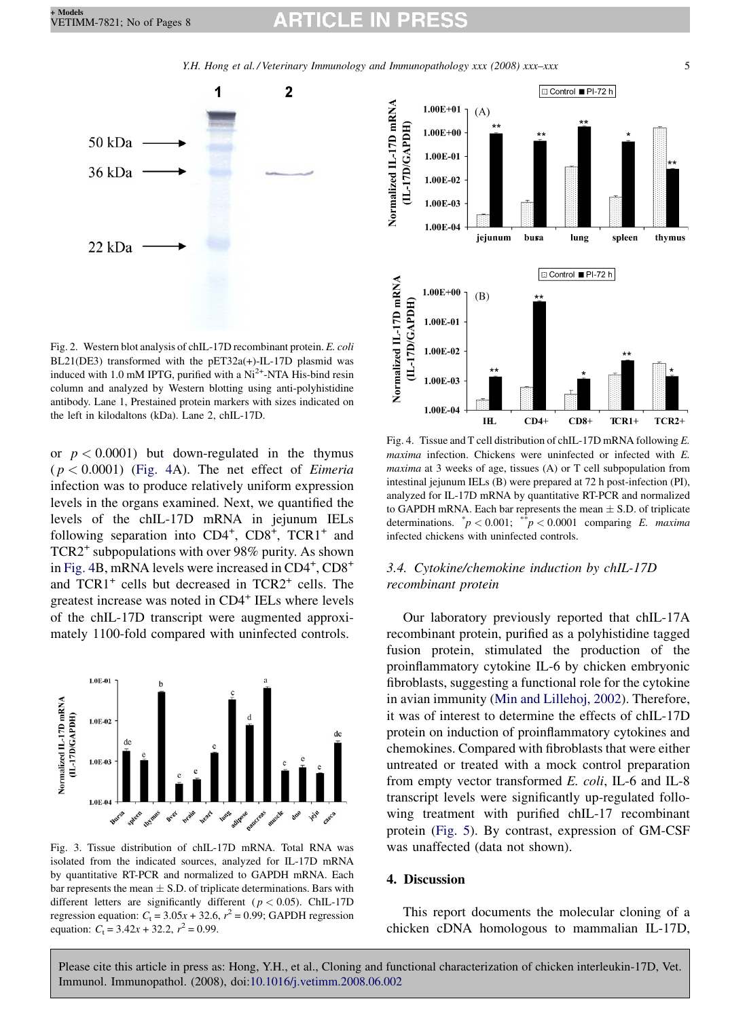Y.H. Hong et al. / Veterinary Immunology and Immunopathology xxx (2008) xxx–xxx 5

<span id="page-4-0"></span>

Fig. 2. Western blot analysis of chIL-17D recombinant protein. E. coli BL21(DE3) transformed with the pET32a(+)-IL-17D plasmid was induced with 1.0 mM IPTG, purified with a  $Ni<sup>2+</sup>$ -NTA His-bind resin column and analyzed by Western blotting using anti-polyhistidine antibody. Lane 1, Prestained protein markers with sizes indicated on the left in kilodaltons (kDa). Lane 2, chIL-17D.

or  $p < 0.0001$ ) but down-regulated in the thymus  $(p < 0.0001)$  (Fig. 4A). The net effect of *Eimeria* infection was to produce relatively uniform expression levels in the organs examined. Next, we quantified the levels of the chIL-17D mRNA in jejunum IELs following separation into CD4<sup>+</sup>, CD8<sup>+</sup>, TCR1<sup>+</sup> and TCR2<sup>+</sup> subpopulations with over 98% purity. As shown in Fig. 4B, mRNA levels were increased in CD4<sup>+</sup>, CD8<sup>+</sup> and  $TCR1<sup>+</sup>$  cells but decreased in  $TCR2<sup>+</sup>$  cells. The greatest increase was noted in CD4<sup>+</sup> IELs where levels of the chIL-17D transcript were augmented approximately 1100-fold compared with uninfected controls.



Fig. 3. Tissue distribution of chIL-17D mRNA. Total RNA was isolated from the indicated sources, analyzed for IL-17D mRNA by quantitative RT-PCR and normalized to GAPDH mRNA. Each bar represents the mean  $\pm$  S.D. of triplicate determinations. Bars with different letters are significantly different ( $p < 0.05$ ). ChIL-17D regression equation:  $C_t = 3.05x + 32.6$ ,  $r^2 = 0.99$ ; GAPDH regression equation:  $C_t = 3.42x + 32.2$ ,  $r^2 = 0.99$ .



Fig. 4. Tissue and T cell distribution of chIL-17D mRNA following E. maxima infection. Chickens were uninfected or infected with E. maxima at 3 weeks of age, tissues (A) or T cell subpopulation from intestinal jejunum IELs (B) were prepared at 72 h post-infection (PI), analyzed for IL-17D mRNA by quantitative RT-PCR and normalized to GAPDH mRNA. Each bar represents the mean  $\pm$  S.D. of triplicate determinations.  $\bar{p}$  < 0.001;  $\bar{p}$  < 0.0001 comparing E. maxima infected chickens with uninfected controls.

## 3.4. Cytokine/chemokine induction by chIL-17D recombinant protein

Our laboratory previously reported that chIL-17A recombinant protein, purified as a polyhistidine tagged fusion protein, stimulated the production of the proinflammatory cytokine IL-6 by chicken embryonic fibroblasts, suggesting a functional role for the cytokine in avian immunity ([Min and Lillehoj, 2002\)](#page-7-0). Therefore, it was of interest to determine the effects of chIL-17D protein on induction of proinflammatory cytokines and chemokines. Compared with fibroblasts that were either untreated or treated with a mock control preparation from empty vector transformed E. coli, IL-6 and IL-8 transcript levels were significantly up-regulated following treatment with purified chIL-17 recombinant protein ([Fig. 5\)](#page-5-0). By contrast, expression of GM-CSF was unaffected (data not shown).

#### 4. Discussion

This report documents the molecular cloning of a chicken cDNA homologous to mammalian IL-17D,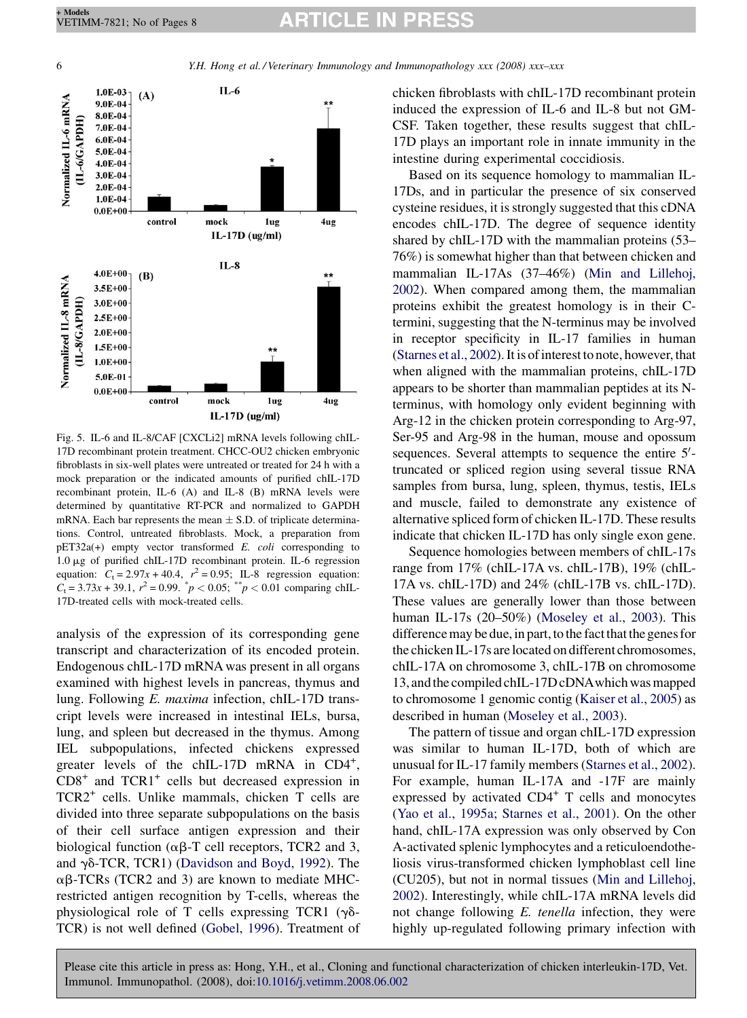<span id="page-5-0"></span>6 Y.H. Hong et al. / Veterinary Immunology and Immunopathology xxx (2008) xxx–xxx



Fig. 5. IL-6 and IL-8/CAF [CXCLi2] mRNA levels following chIL-17D recombinant protein treatment. CHCC-OU2 chicken embryonic fibroblasts in six-well plates were untreated or treated for 24 h with a mock preparation or the indicated amounts of purified chIL-17D recombinant protein, IL-6 (A) and IL-8 (B) mRNA levels were determined by quantitative RT-PCR and normalized to GAPDH mRNA. Each bar represents the mean  $\pm$  S.D. of triplicate determinations. Control, untreated fibroblasts. Mock, a preparation from pET32a(+) empty vector transformed E. coli corresponding to 1.0 mg of purified chIL-17D recombinant protein. IL-6 regression equation:  $C_t = 2.97x + 40.4$ ,  $r^2 = 0.95$ ; IL-8 regression equation:  $C_t = 3.73x + 39.1$ ,  $r^2 = 0.99$ .  $p^* = 0.05$ ;  $p^* = 0.01$  comparing chIL-17D-treated cells with mock-treated cells.

analysis of the expression of its corresponding gene transcript and characterization of its encoded protein. Endogenous chIL-17D mRNA was present in all organs examined with highest levels in pancreas, thymus and lung. Following E. maxima infection, chIL-17D transcript levels were increased in intestinal IELs, bursa, lung, and spleen but decreased in the thymus. Among IEL subpopulations, infected chickens expressed greater levels of the chIL-17D mRNA in CD4<sup>+</sup>,  $CD8<sup>+</sup>$  and  $TCR1<sup>+</sup>$  cells but decreased expression in TCR2<sup>+</sup> cells. Unlike mammals, chicken T cells are divided into three separate subpopulations on the basis of their cell surface antigen expression and their biological function ( $\alpha\beta$ -T cell receptors, TCR2 and 3, and  $\gamma\delta$ -TCR, TCR1) ([Davidson and Boyd, 1992\)](#page-6-0). The  $\alpha\beta$ -TCRs (TCR2 and 3) are known to mediate MHCrestricted antigen recognition by T-cells, whereas the physiological role of T cells expressing TCR1 ( $\gamma\delta$ -TCR) is not well defined [\(Gobel, 1996](#page-6-0)). Treatment of chicken fibroblasts with chIL-17D recombinant protein induced the expression of IL-6 and IL-8 but not GM-CSF. Taken together, these results suggest that chIL-17D plays an important role in innate immunity in the intestine during experimental coccidiosis.

Based on its sequence homology to mammalian IL-17Ds, and in particular the presence of six conserved cysteine residues, it is strongly suggested that this cDNA encodes chIL-17D. The degree of sequence identity shared by chIL-17D with the mammalian proteins (53– 76%) is somewhat higher than that between chicken and mammalian IL-17As (37–46%) [\(Min and Lillehoj,](#page-7-0) [2002\)](#page-7-0). When compared among them, the mammalian proteins exhibit the greatest homology is in their Ctermini, suggesting that the N-terminus may be involved in receptor specificity in IL-17 families in human [\(Starnes et al., 2002](#page-7-0)). It is ofinterest to note, however, that when aligned with the mammalian proteins, chIL-17D appears to be shorter than mammalian peptides at its Nterminus, with homology only evident beginning with Arg-12 in the chicken protein corresponding to Arg-97, Ser-95 and Arg-98 in the human, mouse and opossum sequences. Several attempts to sequence the entire 5'truncated or spliced region using several tissue RNA samples from bursa, lung, spleen, thymus, testis, IELs and muscle, failed to demonstrate any existence of alternative spliced form of chicken IL-17D. These results indicate that chicken IL-17D has only single exon gene.

Sequence homologies between members of chIL-17s range from 17% (chIL-17A vs. chIL-17B), 19% (chIL-17A vs. chIL-17D) and 24% (chIL-17B vs. chIL-17D). These values are generally lower than those between human IL-17s (20–50%) ([Moseley et al., 2003\)](#page-7-0). This difference may be due, in part, to the fact that the genes for the chicken IL-17s arelocated on different chromosomes, chIL-17A on chromosome 3, chIL-17B on chromosome 13, andthe compiled chIL-17D cDNAwhich was mapped to chromosome 1 genomic contig ([Kaiser et al., 2005\)](#page-7-0) as described in human [\(Moseley et al., 2003\)](#page-7-0).

The pattern of tissue and organ chIL-17D expression was similar to human IL-17D, both of which are unusual for IL-17 family members [\(Starnes et al., 2002\)](#page-7-0). For example, human IL-17A and -17F are mainly expressed by activated  $CD4^+$  T cells and monocytes ([Yao et al., 1995a; Starnes et al., 2001\)](#page-7-0). On the other hand, chIL-17A expression was only observed by Con A-activated splenic lymphocytes and a reticuloendotheliosis virus-transformed chicken lymphoblast cell line (CU205), but not in normal tissues [\(Min and Lillehoj,](#page-7-0) [2002](#page-7-0)). Interestingly, while chIL-17A mRNA levels did not change following E. tenella infection, they were highly up-regulated following primary infection with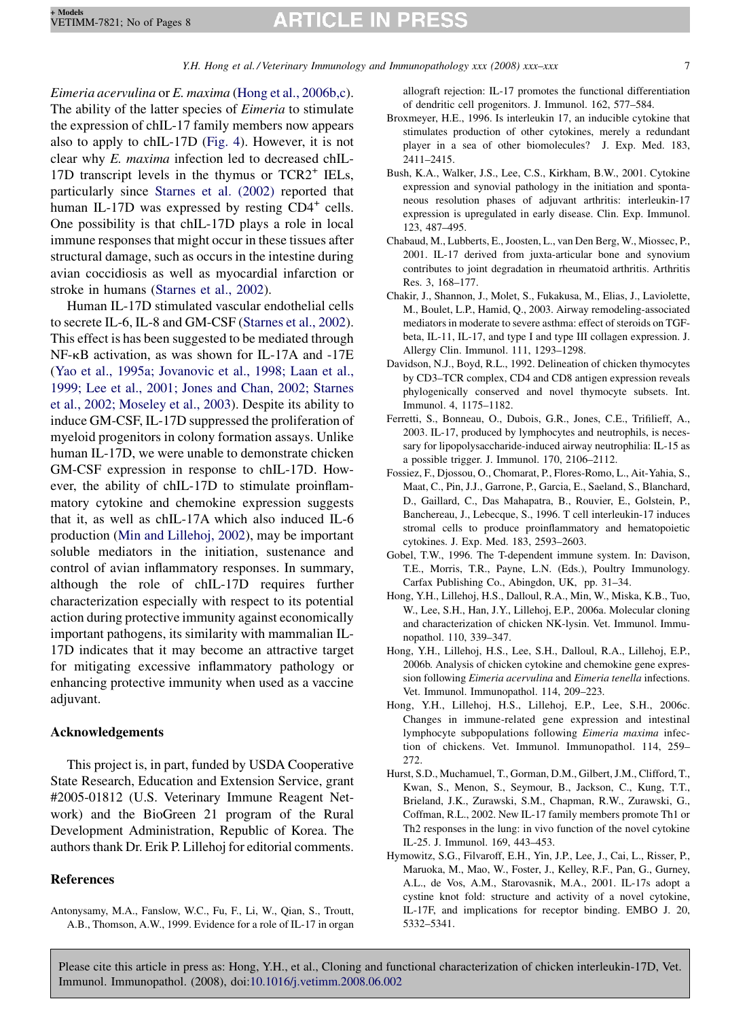<span id="page-6-0"></span>Eimeria acervulina or E. maxima (Hong et al., 2006b,c). The ability of the latter species of *Eimeria* to stimulate the expression of chIL-17 family members now appears also to apply to chIL-17D ([Fig. 4](#page-4-0)). However, it is not clear why E. maxima infection led to decreased chIL-17D transcript levels in the thymus or  $TCR2<sup>+</sup> IELs$ , particularly since [Starnes et al. \(2002\)](#page-7-0) reported that human IL-17D was expressed by resting  $CD4^+$  cells. One possibility is that chIL-17D plays a role in local immune responses that might occur in these tissues after structural damage, such as occurs in the intestine during avian coccidiosis as well as myocardial infarction or stroke in humans [\(Starnes et al., 2002](#page-7-0)).

Human IL-17D stimulated vascular endothelial cells to secrete IL-6, IL-8 and GM-CSF [\(Starnes et al., 2002](#page-7-0)). This effect is has been suggested to be mediated through NF-kB activation, as was shown for IL-17A and -17E [\(Yao et al., 1995a; Jovanovic et al., 1998; Laan et al.,](#page-7-0) [1999; Lee et al., 2001; Jones and Chan, 2002; Starnes](#page-7-0) [et al., 2002; Moseley et al., 2003](#page-7-0)). Despite its ability to induce GM-CSF, IL-17D suppressed the proliferation of myeloid progenitors in colony formation assays. Unlike human IL-17D, we were unable to demonstrate chicken GM-CSF expression in response to chIL-17D. However, the ability of chIL-17D to stimulate proinflammatory cytokine and chemokine expression suggests that it, as well as chIL-17A which also induced IL-6 production [\(Min and Lillehoj, 2002\)](#page-7-0), may be important soluble mediators in the initiation, sustenance and control of avian inflammatory responses. In summary, although the role of chIL-17D requires further characterization especially with respect to its potential action during protective immunity against economically important pathogens, its similarity with mammalian IL-17D indicates that it may become an attractive target for mitigating excessive inflammatory pathology or enhancing protective immunity when used as a vaccine adjuvant.

### Acknowledgements

This project is, in part, funded by USDA Cooperative State Research, Education and Extension Service, grant #2005-01812 (U.S. Veterinary Immune Reagent Network) and the BioGreen 21 program of the Rural Development Administration, Republic of Korea. The authors thank Dr. Erik P. Lillehoj for editorial comments.

## References

Antonysamy, M.A., Fanslow, W.C., Fu, F., Li, W., Qian, S., Troutt, A.B., Thomson, A.W., 1999. Evidence for a role of IL-17 in organ allograft rejection: IL-17 promotes the functional differentiation of dendritic cell progenitors. J. Immunol. 162, 577–584.

- Broxmeyer, H.E., 1996. Is interleukin 17, an inducible cytokine that stimulates production of other cytokines, merely a redundant player in a sea of other biomolecules? J. Exp. Med. 183, 2411–2415.
- Bush, K.A., Walker, J.S., Lee, C.S., Kirkham, B.W., 2001. Cytokine expression and synovial pathology in the initiation and spontaneous resolution phases of adjuvant arthritis: interleukin-17 expression is upregulated in early disease. Clin. Exp. Immunol. 123, 487–495.
- Chabaud, M., Lubberts, E., Joosten, L., van Den Berg, W., Miossec, P., 2001. IL-17 derived from juxta-articular bone and synovium contributes to joint degradation in rheumatoid arthritis. Arthritis Res. 3, 168–177.
- Chakir, J., Shannon, J., Molet, S., Fukakusa, M., Elias, J., Laviolette, M., Boulet, L.P., Hamid, Q., 2003. Airway remodeling-associated mediators in moderate to severe asthma: effect of steroids on TGFbeta, IL-11, IL-17, and type I and type III collagen expression. J. Allergy Clin. Immunol. 111, 1293–1298.
- Davidson, N.J., Boyd, R.L., 1992. Delineation of chicken thymocytes by CD3–TCR complex, CD4 and CD8 antigen expression reveals phylogenically conserved and novel thymocyte subsets. Int. Immunol. 4, 1175–1182.
- Ferretti, S., Bonneau, O., Dubois, G.R., Jones, C.E., Trifilieff, A., 2003. IL-17, produced by lymphocytes and neutrophils, is necessary for lipopolysaccharide-induced airway neutrophilia: IL-15 as a possible trigger. J. Immunol. 170, 2106–2112.
- Fossiez, F., Djossou, O., Chomarat, P., Flores-Romo, L., Ait-Yahia, S., Maat, C., Pin, J.J., Garrone, P., Garcia, E., Saeland, S., Blanchard, D., Gaillard, C., Das Mahapatra, B., Rouvier, E., Golstein, P., Banchereau, J., Lebecque, S., 1996. T cell interleukin-17 induces stromal cells to produce proinflammatory and hematopoietic cytokines. J. Exp. Med. 183, 2593–2603.
- Gobel, T.W., 1996. The T-dependent immune system. In: Davison, T.E., Morris, T.R., Payne, L.N. (Eds.), Poultry Immunology. Carfax Publishing Co., Abingdon, UK, pp. 31–34.
- Hong, Y.H., Lillehoj, H.S., Dalloul, R.A., Min, W., Miska, K.B., Tuo, W., Lee, S.H., Han, J.Y., Lillehoj, E.P., 2006a. Molecular cloning and characterization of chicken NK-lysin. Vet. Immunol. Immunopathol. 110, 339–347.
- Hong, Y.H., Lillehoj, H.S., Lee, S.H., Dalloul, R.A., Lillehoj, E.P., 2006b. Analysis of chicken cytokine and chemokine gene expression following Eimeria acervulina and Eimeria tenella infections. Vet. Immunol. Immunopathol. 114, 209–223.
- Hong, Y.H., Lillehoj, H.S., Lillehoj, E.P., Lee, S.H., 2006c. Changes in immune-related gene expression and intestinal lymphocyte subpopulations following Eimeria maxima infection of chickens. Vet. Immunol. Immunopathol. 114, 259– 272.
- Hurst, S.D., Muchamuel, T., Gorman, D.M., Gilbert, J.M., Clifford, T., Kwan, S., Menon, S., Seymour, B., Jackson, C., Kung, T.T., Brieland, J.K., Zurawski, S.M., Chapman, R.W., Zurawski, G., Coffman, R.L., 2002. New IL-17 family members promote Th1 or Th2 responses in the lung: in vivo function of the novel cytokine IL-25. J. Immunol. 169, 443–453.
- Hymowitz, S.G., Filvaroff, E.H., Yin, J.P., Lee, J., Cai, L., Risser, P., Maruoka, M., Mao, W., Foster, J., Kelley, R.F., Pan, G., Gurney, A.L., de Vos, A.M., Starovasnik, M.A., 2001. IL-17s adopt a cystine knot fold: structure and activity of a novel cytokine, IL-17F, and implications for receptor binding. EMBO J. 20, 5332–5341.